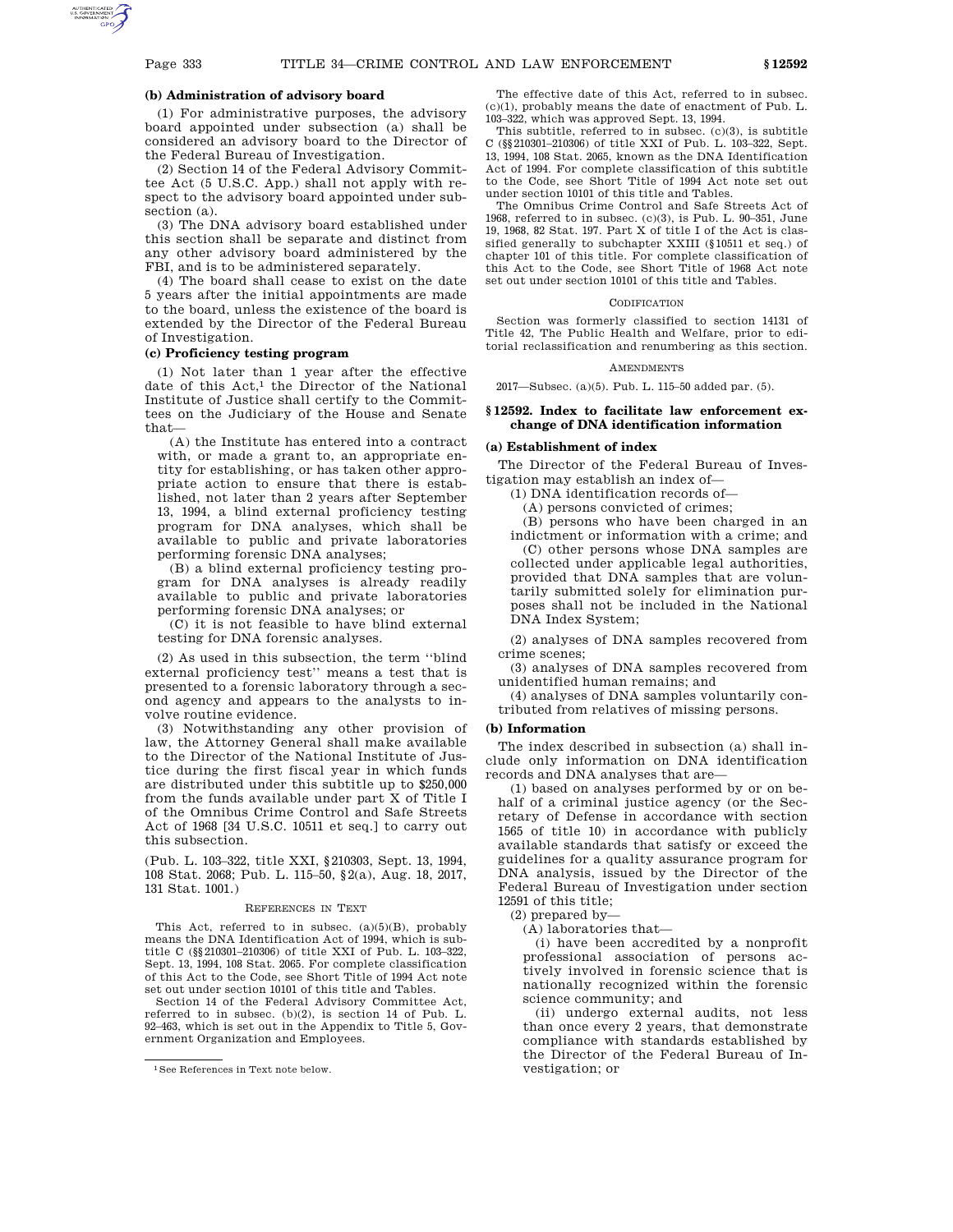## **(b) Administration of advisory board**

(1) For administrative purposes, the advisory board appointed under subsection (a) shall be considered an advisory board to the Director of the Federal Bureau of Investigation.

(2) Section 14 of the Federal Advisory Committee Act (5 U.S.C. App.) shall not apply with respect to the advisory board appointed under subsection (a).

(3) The DNA advisory board established under this section shall be separate and distinct from any other advisory board administered by the FBI, and is to be administered separately.

(4) The board shall cease to exist on the date 5 years after the initial appointments are made to the board, unless the existence of the board is extended by the Director of the Federal Bureau of Investigation.

# **(c) Proficiency testing program**

(1) Not later than 1 year after the effective date of this Act,<sup>1</sup> the Director of the National Institute of Justice shall certify to the Committees on the Judiciary of the House and Senate that—

(A) the Institute has entered into a contract with, or made a grant to, an appropriate entity for establishing, or has taken other appropriate action to ensure that there is established, not later than 2 years after September 13, 1994, a blind external proficiency testing program for DNA analyses, which shall be available to public and private laboratories performing forensic DNA analyses;

(B) a blind external proficiency testing program for DNA analyses is already readily available to public and private laboratories performing forensic DNA analyses; or

(C) it is not feasible to have blind external testing for DNA forensic analyses.

(2) As used in this subsection, the term ''blind external proficiency test'' means a test that is presented to a forensic laboratory through a second agency and appears to the analysts to involve routine evidence.

(3) Notwithstanding any other provision of law, the Attorney General shall make available to the Director of the National Institute of Justice during the first fiscal year in which funds are distributed under this subtitle up to \$250,000 from the funds available under part X of Title I of the Omnibus Crime Control and Safe Streets Act of 1968 [34 U.S.C. 10511 et seq.] to carry out this subsection.

(Pub. L. 103–322, title XXI, §210303, Sept. 13, 1994, 108 Stat. 2068; Pub. L. 115–50, §2(a), Aug. 18, 2017, 131 Stat. 1001.)

#### REFERENCES IN TEXT

This Act, referred to in subsec.  $(a)(5)(B)$ , probably means the DNA Identification Act of 1994, which is subtitle C (§§210301–210306) of title XXI of Pub. L. 103–322, Sept. 13, 1994, 108 Stat. 2065. For complete classification of this Act to the Code, see Short Title of 1994 Act note set out under section 10101 of this title and Tables.

Section 14 of the Federal Advisory Committee Act, referred to in subsec. (b)(2), is section 14 of Pub. L. 92–463, which is set out in the Appendix to Title 5, Government Organization and Employees.

The effective date of this Act, referred to in subsec. (c)(1), probably means the date of enactment of Pub. L. 103–322, which was approved Sept. 13, 1994.

This subtitle, referred to in subsec. (c)(3), is subtitle C (§§210301–210306) of title XXI of Pub. L. 103–322, Sept. 13, 1994, 108 Stat. 2065, known as the DNA Identification Act of 1994. For complete classification of this subtitle to the Code, see Short Title of 1994 Act note set out under section 10101 of this title and Tables.

The Omnibus Crime Control and Safe Streets Act of 1968, referred to in subsec. (c)(3), is Pub. L. 90–351, June 19, 1968, 82 Stat. 197. Part X of title I of the Act is classified generally to subchapter XXIII (§10511 et seq.) of chapter 101 of this title. For complete classification of this Act to the Code, see Short Title of 1968 Act note set out under section 10101 of this title and Tables.

#### CODIFICATION

Section was formerly classified to section 14131 of Title 42, The Public Health and Welfare, prior to editorial reclassification and renumbering as this section.

#### **AMENDMENTS**

2017—Subsec. (a)(5). Pub. L. 115–50 added par. (5).

## **§ 12592. Index to facilitate law enforcement exchange of DNA identification information**

#### **(a) Establishment of index**

The Director of the Federal Bureau of Investigation may establish an index of—

(1) DNA identification records of—

(A) persons convicted of crimes;

(B) persons who have been charged in an indictment or information with a crime; and (C) other persons whose DNA samples are collected under applicable legal authorities, provided that DNA samples that are voluntarily submitted solely for elimination purposes shall not be included in the National DNA Index System;

(2) analyses of DNA samples recovered from crime scenes;

(3) analyses of DNA samples recovered from unidentified human remains; and

(4) analyses of DNA samples voluntarily contributed from relatives of missing persons.

## **(b) Information**

The index described in subsection (a) shall include only information on DNA identification records and DNA analyses that are—

(1) based on analyses performed by or on behalf of a criminal justice agency (or the Secretary of Defense in accordance with section 1565 of title 10) in accordance with publicly available standards that satisfy or exceed the guidelines for a quality assurance program for DNA analysis, issued by the Director of the Federal Bureau of Investigation under section 12591 of this title;

(2) prepared by—

(A) laboratories that—

(i) have been accredited by a nonprofit professional association of persons actively involved in forensic science that is nationally recognized within the forensic science community; and

(ii) undergo external audits, not less than once every 2 years, that demonstrate compliance with standards established by the Director of the Federal Bureau of Investigation; or

<sup>1</sup>See References in Text note below.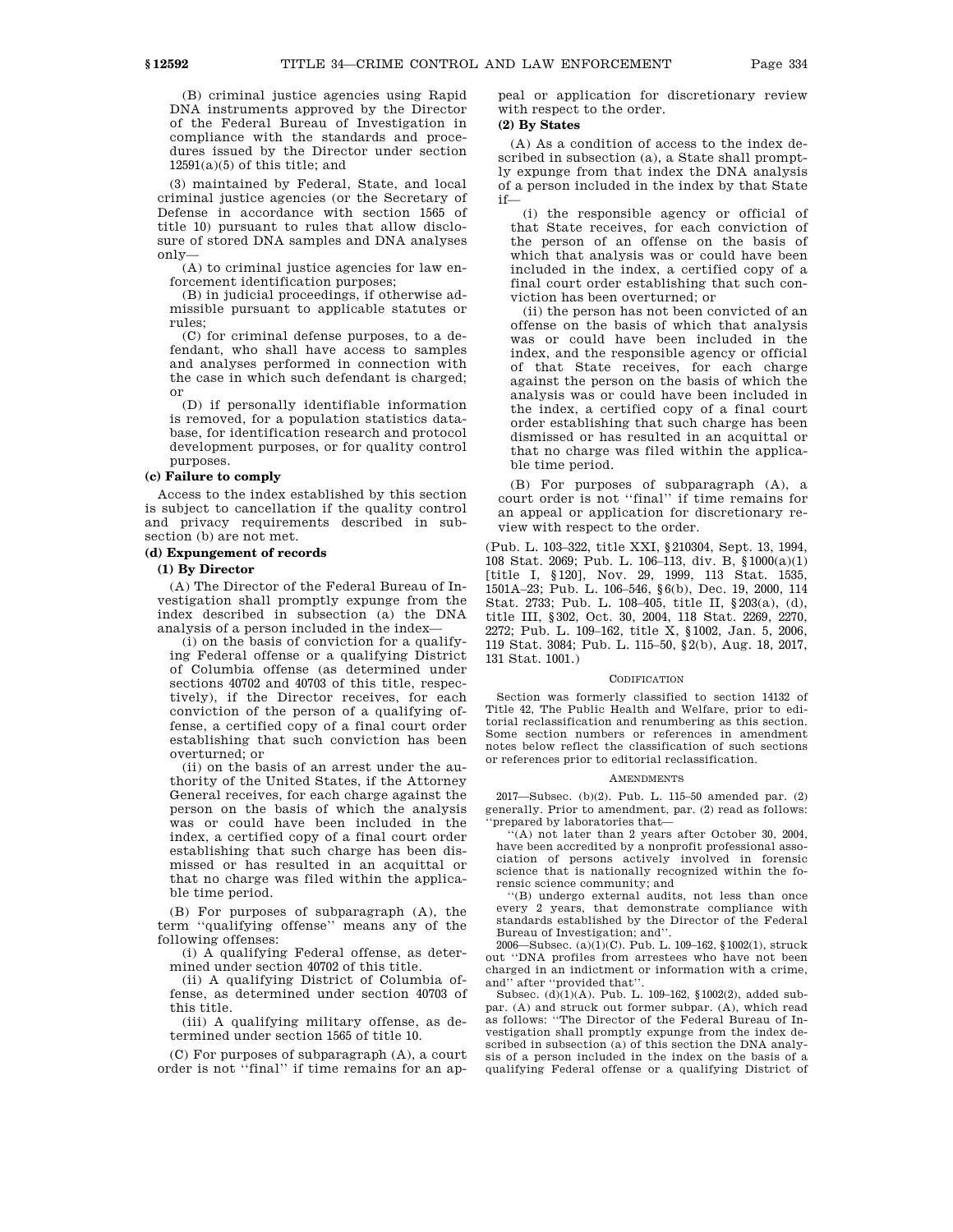(B) criminal justice agencies using Rapid DNA instruments approved by the Director of the Federal Bureau of Investigation in compliance with the standards and procedures issued by the Director under section  $12591(a)(5)$  of this title; and

(3) maintained by Federal, State, and local criminal justice agencies (or the Secretary of Defense in accordance with section 1565 of title 10) pursuant to rules that allow disclosure of stored DNA samples and DNA analyses only—

(A) to criminal justice agencies for law enforcement identification purposes;

(B) in judicial proceedings, if otherwise admissible pursuant to applicable statutes or rules;

(C) for criminal defense purposes, to a defendant, who shall have access to samples and analyses performed in connection with the case in which such defendant is charged; or

(D) if personally identifiable information is removed, for a population statistics database, for identification research and protocol development purposes, or for quality control purposes.

# **(c) Failure to comply**

Access to the index established by this section is subject to cancellation if the quality control and privacy requirements described in subsection (b) are not met.

## **(d) Expungement of records**

## **(1) By Director**

(A) The Director of the Federal Bureau of Investigation shall promptly expunge from the index described in subsection (a) the DNA analysis of a person included in the index—

(i) on the basis of conviction for a qualifying Federal offense or a qualifying District of Columbia offense (as determined under sections 40702 and 40703 of this title, respectively), if the Director receives, for each conviction of the person of a qualifying offense, a certified copy of a final court order establishing that such conviction has been overturned; or

(ii) on the basis of an arrest under the authority of the United States, if the Attorney General receives, for each charge against the person on the basis of which the analysis was or could have been included in the index, a certified copy of a final court order establishing that such charge has been dismissed or has resulted in an acquittal or that no charge was filed within the applicable time period.

(B) For purposes of subparagraph (A), the term ''qualifying offense'' means any of the following offenses:

(i) A qualifying Federal offense, as determined under section 40702 of this title.

(ii) A qualifying District of Columbia offense, as determined under section 40703 of this title.

(iii) A qualifying military offense, as determined under section 1565 of title 10.

(C) For purposes of subparagraph (A), a court order is not ''final'' if time remains for an appeal or application for discretionary review with respect to the order.

## **(2) By States**

(A) As a condition of access to the index described in subsection (a), a State shall promptly expunge from that index the DNA analysis of a person included in the index by that State if—

(i) the responsible agency or official of that State receives, for each conviction of the person of an offense on the basis of which that analysis was or could have been included in the index, a certified copy of a final court order establishing that such conviction has been overturned; or

(ii) the person has not been convicted of an offense on the basis of which that analysis was or could have been included in the index, and the responsible agency or official of that State receives, for each charge against the person on the basis of which the analysis was or could have been included in the index, a certified copy of a final court order establishing that such charge has been dismissed or has resulted in an acquittal or that no charge was filed within the applicable time period.

(B) For purposes of subparagraph (A), a court order is not ''final'' if time remains for an appeal or application for discretionary review with respect to the order.

(Pub. L. 103–322, title XXI, §210304, Sept. 13, 1994, 108 Stat. 2069; Pub. L. 106–113, div. B, §1000(a)(1) [title I, §120], Nov. 29, 1999, 113 Stat. 1535, 1501A–23; Pub. L. 106–546, §6(b), Dec. 19, 2000, 114 Stat. 2733; Pub. L. 108–405, title II, §203(a), (d), title III, §302, Oct. 30, 2004, 118 Stat. 2269, 2270, 2272; Pub. L. 109–162, title X, §1002, Jan. 5, 2006, 119 Stat. 3084; Pub. L. 115–50, §2(b), Aug. 18, 2017, 131 Stat. 1001.)

#### CODIFICATION

Section was formerly classified to section 14132 of Title 42, The Public Health and Welfare, prior to editorial reclassification and renumbering as this section. Some section numbers or references in amendment notes below reflect the classification of such sections or references prior to editorial reclassification.

#### **AMENDMENTS**

2017—Subsec. (b)(2). Pub. L. 115–50 amended par. (2) generally. Prior to amendment, par. (2) read as follows: ''prepared by laboratories that—

''(A) not later than 2 years after October 30, 2004, have been accredited by a nonprofit professional association of persons actively involved in forensic science that is nationally recognized within the forensic science community; and

''(B) undergo external audits, not less than once every 2 years, that demonstrate compliance with standards established by the Director of the Federal Bureau of Investigation; and''.

2006—Subsec. (a)( $1)$ (C). Pub. L. 109–162, §1002(1), struck out ''DNA profiles from arrestees who have not been charged in an indictment or information with a crime, and'' after ''provided that''.

Subsec. (d)(1)(A). Pub. L. 109–162, §1002(2), added subpar. (A) and struck out former subpar. (A), which read as follows: ''The Director of the Federal Bureau of Investigation shall promptly expunge from the index described in subsection (a) of this section the DNA analysis of a person included in the index on the basis of a qualifying Federal offense or a qualifying District of